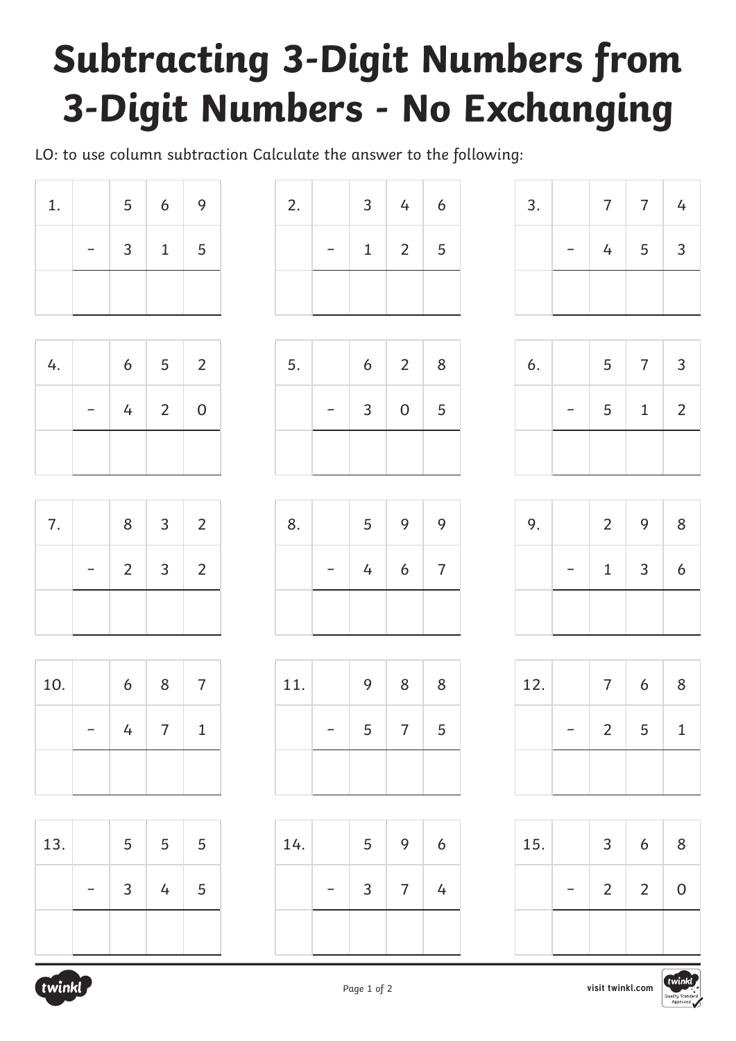# **Subtracting 3-Digit Numbers from 3-Digit Numbers - No Exchanging**

LO: to use column subtraction Calculate the answer to the following:

| 1. | 5            | $6\overline{6}$ | 9 |
|----|--------------|-----------------|---|
|    | $\mathbf{3}$ | 1               | 5 |
|    |              |                 |   |

| 4. | 6 | $5\overline{)}$ | $\overline{2}$ |
|----|---|-----------------|----------------|
|    | 4 | $\overline{2}$  | $\overline{0}$ |
|    |   |                 |                |

| 7. | 8 | $\overline{\mathbf{3}}$ | 2              |
|----|---|-------------------------|----------------|
|    |   | $2 \mid 3 \mid$         | $\overline{2}$ |
|    |   |                         |                |

| 10. | 6 | 8              | 7 |
|-----|---|----------------|---|
|     | 4 | $\overline{7}$ | 1 |
|     |   |                |   |

| 13. | 5 | 5 | 5 |
|-----|---|---|---|
|     | 3 | 4 | 5 |
|     |   |   |   |

| 2. | 3 <sup>7</sup> | 4          | 6 |
|----|----------------|------------|---|
|    | $1 \vert$      | $2 \mid 5$ |   |
|    |                |            |   |

 $5.$  6 2 8

− 3 0 5

| 3. | $\overline{7}$ | $7\overline{ }$ | 4 |
|----|----------------|-----------------|---|
|    | $\overline{4}$ | $5\overline{)}$ | 3 |
|    |                |                 |   |

| 6. | 5 | $7\overline{ }$ | $\overline{3}$ |
|----|---|-----------------|----------------|
|    | 5 | $\mathbf{1}$    | 2              |
|    |   |                 |                |

| 9. | $2^{\circ}$  | 9            | 8 |
|----|--------------|--------------|---|
|    | $\mathbf{1}$ | $\mathbf{3}$ | 6 |
|    |              |              |   |

| 12. | $\overline{7}$ | 6 | 8 |
|-----|----------------|---|---|
|     | $\overline{2}$ | 5 | 1 |
|     |                |   |   |

| 15. | 3              | 6              | 8           |
|-----|----------------|----------------|-------------|
|     | $\overline{2}$ | $\overline{2}$ | $\mathbf 0$ |
|     |                |                |             |



| 8. | 5 | 9               | 9              |
|----|---|-----------------|----------------|
|    | 4 | $6\overline{6}$ | $\overline{7}$ |
|    |   |                 |                |
|    |   |                 |                |

| 11. | 9 | 8              | 8 |
|-----|---|----------------|---|
|     | 5 | $\overline{7}$ | 5 |
|     |   |                |   |

| 14. | 5 | 9              | 6 |
|-----|---|----------------|---|
|     | 3 | $\overline{7}$ | 4 |
|     |   |                |   |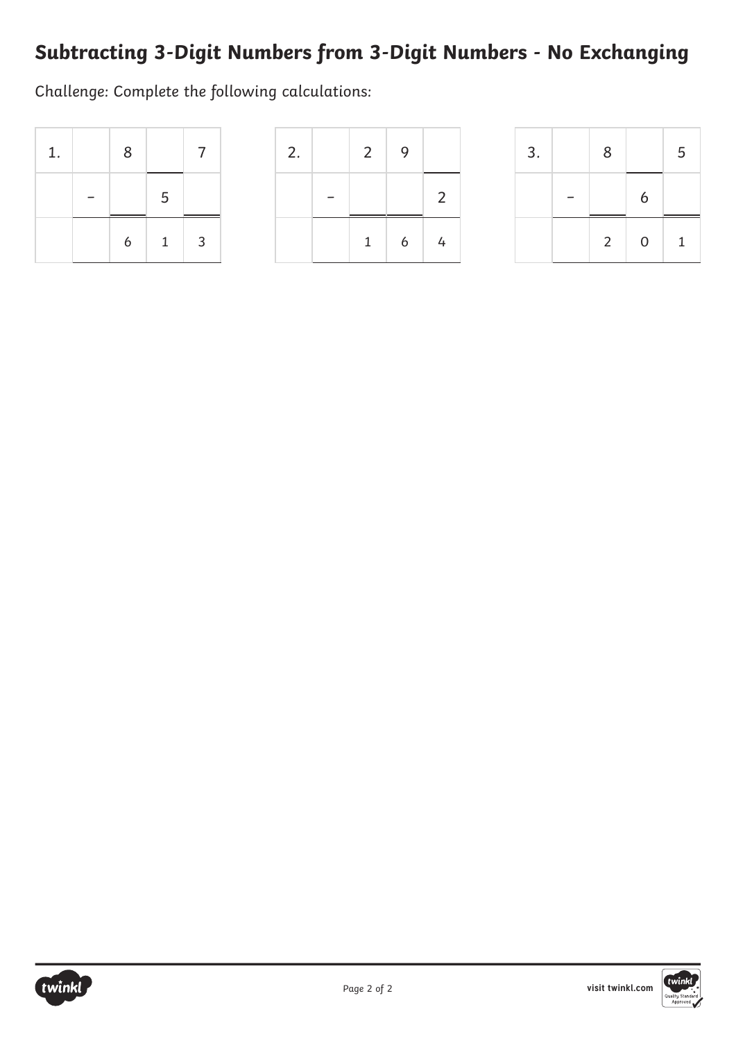#### **Subtracting 3-Digit Numbers from 3-Digit Numbers - No Exchanging**

Challenge: Complete the following calculations:

| 1. | 8 |              | 7              |
|----|---|--------------|----------------|
|    |   | 5            |                |
|    | 6 | $\mathbf{1}$ | $\overline{3}$ |

| 2. | $2^{\circ}$  | 9 |                |
|----|--------------|---|----------------|
|    |              |   | 2              |
|    | $\mathbf{1}$ | 6 | $\overline{4}$ |

| 3. | 8              |             | 5            |
|----|----------------|-------------|--------------|
|    |                | 6           |              |
|    | $\overline{2}$ | $\mathbf 0$ | $\mathbf{1}$ |



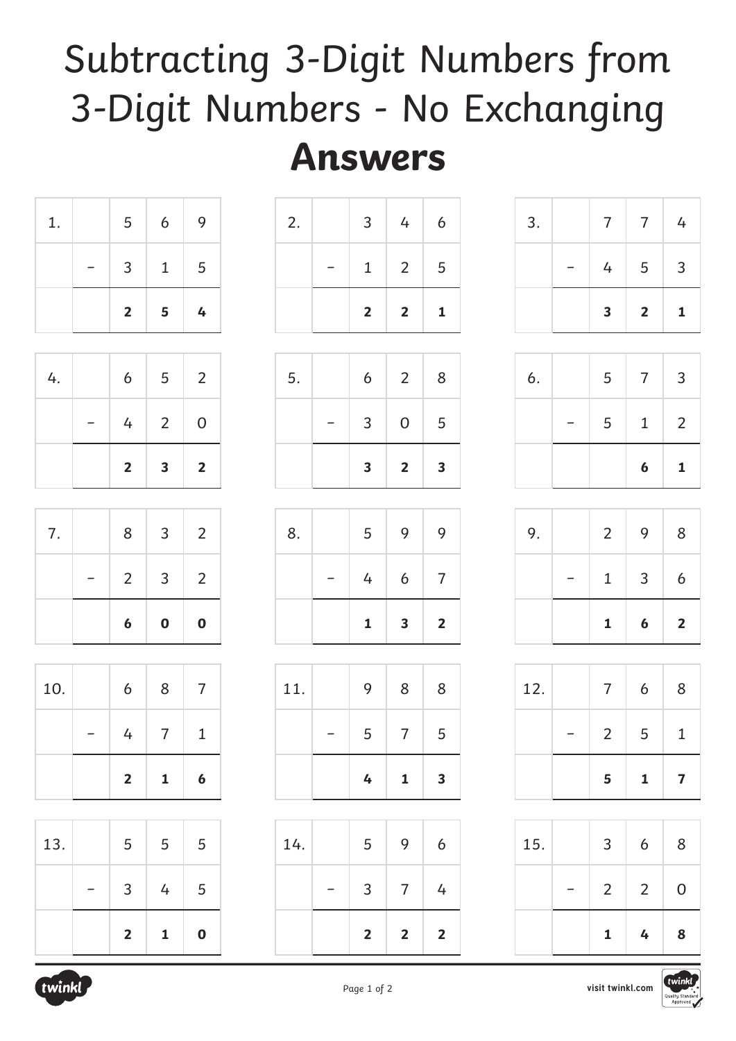## Subtracting 3-Digit Numbers from 3-Digit Numbers - No Exchanging

### **Answers**

| 1. | 5              | $6\overline{6}$ | 9               |
|----|----------------|-----------------|-----------------|
|    | 3 <sup>1</sup> | $\mathbf{1}$    | $5\overline{5}$ |
|    | $\overline{2}$ | 5 <sup>5</sup>  | $\frac{1}{2}$   |

| 4. | $6\overline{6}$ | $5 \mid 2$      |                |
|----|-----------------|-----------------|----------------|
|    |                 | $4 \mid 2 \mid$ | $\overline{O}$ |
|    | $2^{\circ}$     | 3               | $\overline{2}$ |

| 7. | 8 <sup>1</sup> | $\mathbf{3}$    | $\overline{2}$ |
|----|----------------|-----------------|----------------|
|    |                | $2 \mid 3 \mid$ | $\overline{2}$ |
|    | 6              | $\mathbf 0$     | $\mathbf 0$    |

|     | $\overline{2}$ | 1 | 6 |
|-----|----------------|---|---|
|     | 4              | 7 | 1 |
| 10. | 6              | 8 |   |

| 13. | 5                       | 5 | 5           |
|-----|-------------------------|---|-------------|
|     | 3                       | 4 | 5           |
|     | $\overline{\mathbf{2}}$ | 1 | $\mathbf 0$ |

|    | $2 \mid$ | $2 \mid$          | $\mathbf{1}$   |
|----|----------|-------------------|----------------|
|    |          | $1 \mid 2 \mid 5$ |                |
| 2. | $3 \mid$ | 4                 | $\overline{6}$ |

| 5. | 6              | $\overline{2}$ | 8                       |
|----|----------------|----------------|-------------------------|
|    | 3 <sup>7</sup> | $\overline{O}$ | 5                       |
|    | 3 <sup>1</sup> | $\overline{2}$ | $\overline{\mathbf{3}}$ |

| 8. | 5              | 9                       | 9              |
|----|----------------|-------------------------|----------------|
|    | 4 <sup>1</sup> | $6\overline{6}$         | $\overline{7}$ |
|    | $\mathbf{1}$   | $\overline{\mathbf{3}}$ | $\overline{2}$ |

| 11. | 9 | 8            | 8 |
|-----|---|--------------|---|
|     | 5 | 7            | 5 |
|     | 4 | $\mathbf{1}$ | 3 |

|     | $\overline{\mathbf{2}}$ | $\overline{\mathbf{2}}$ | $\overline{\mathbf{2}}$ |
|-----|-------------------------|-------------------------|-------------------------|
|     | 3                       | $\mathcal{I}$           | 4                       |
| 14. | 5                       | 9                       | 6                       |

| 3. | $7^{\circ}$             | $\overline{7}$ | 4              |
|----|-------------------------|----------------|----------------|
|    | 4                       | 5              | $\overline{3}$ |
|    | $\overline{\mathbf{3}}$ | $\overline{2}$ | $\mathbf{1}$   |

|    |   | $\boldsymbol{6}$ | $\mathbf{1}$   |
|----|---|------------------|----------------|
|    | 5 | $\mathbf{1}$     | $\overline{2}$ |
| 6. | 5 | $7\overline{ }$  | 3              |

| 9. | $2^{\circ}$  | 9                | 8              |
|----|--------------|------------------|----------------|
|    | $\mathbf{1}$ | $\mathbf{3}$     | 6              |
|    | $\mathbf{1}$ | $\boldsymbol{6}$ | $\overline{2}$ |

| 12. | $\overline{7}$ | 6            | 8                       |
|-----|----------------|--------------|-------------------------|
|     | $\overline{2}$ | 5            | 1                       |
|     | 5              | $\mathbf{1}$ | $\overline{\mathbf{z}}$ |

|     | 1              | 4              | 8           |
|-----|----------------|----------------|-------------|
|     | $\overline{2}$ | $\overline{2}$ | $\mathbf 0$ |
| 15. | 3              | 6              | 8           |